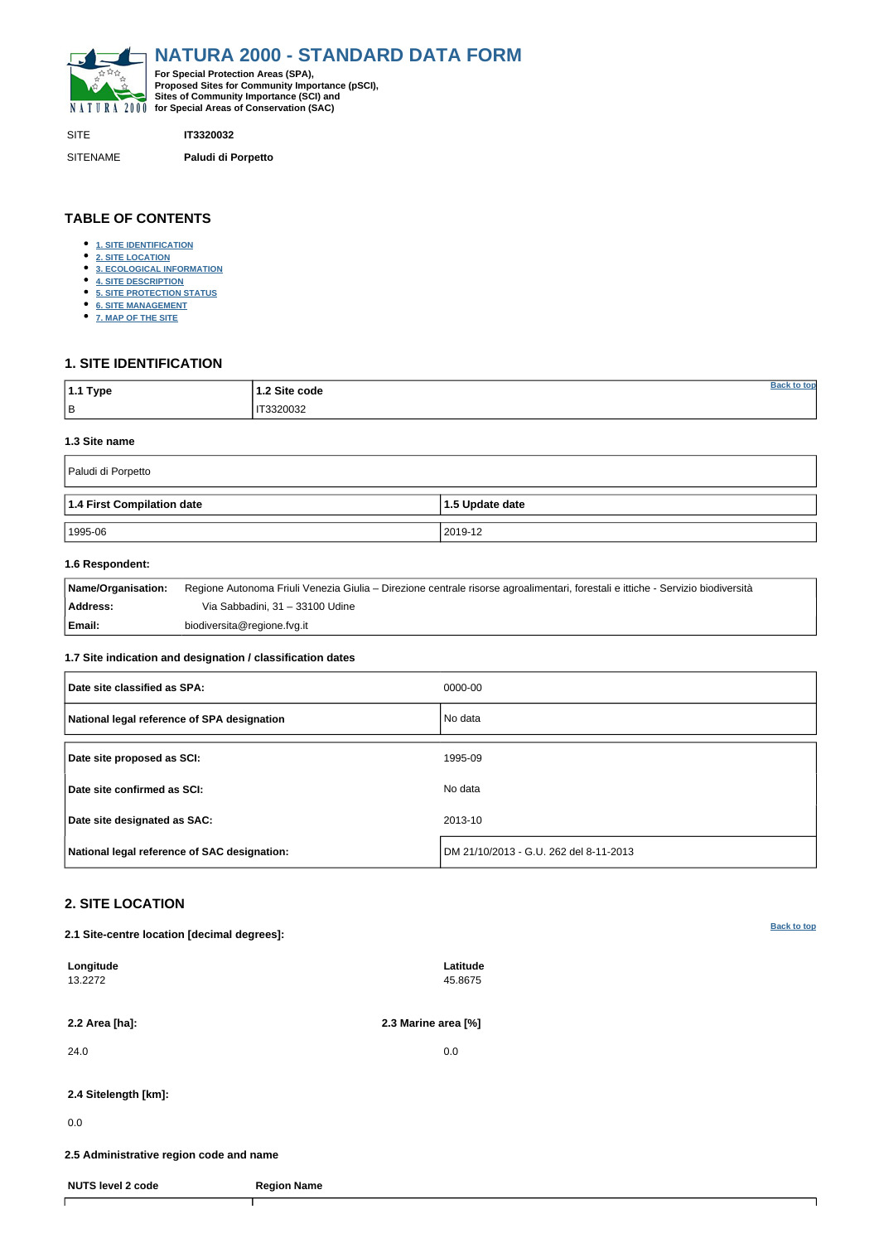<span id="page-0-0"></span>

SITE **IT3320032**

SITENAME **Paludi di Porpetto**

| $ 1.1$ Type | 1.2 Site code  |  |
|-------------|----------------|--|
| l B         | IT3320032<br>. |  |

## **TABLE OF CONTENTS**

- **[1. SITE IDENTIFICATION](#page-0-1)**
- **[2. SITE LOCATION](#page-0-2)**
- **[3. ECOLOGICAL INFORMATION](#page-1-0)**
- **[4. SITE DESCRIPTION](#page-2-0)**
- **[5. SITE PROTECTION STATUS](#page-3-0)**
- **[6. SITE MANAGEMENT](#page-3-1)**
- **[7. MAP OF THE SITE](#page-4-0)**

## <span id="page-0-1"></span>**1. SITE IDENTIFICATION**

#### **1.3 Site name**

| Paludi di Porpetto         |                   |  |  |  |  |  |  |
|----------------------------|-------------------|--|--|--|--|--|--|
| 1.4 First Compilation date | $1.5$ Update date |  |  |  |  |  |  |
| 1995-06                    | 2019-12           |  |  |  |  |  |  |

## **1.6 Respondent:**

| Name/Organisation: | Regione Autonoma Friuli Venezia Giulia – Direzione centrale risorse agroalimentari, forestali e ittiche - Servizio biodiversità |
|--------------------|---------------------------------------------------------------------------------------------------------------------------------|
| Address:           | Via Sabbadini, 31 – 33100 Udine                                                                                                 |
| Email:             | biodiversita@regione.fvg.it                                                                                                     |

## **1.7 Site indication and designation / classification dates**

| Date site classified as SPA:                 | 0000-00                                |
|----------------------------------------------|----------------------------------------|
| National legal reference of SPA designation  | No data                                |
| Date site proposed as SCI:                   | 1995-09                                |
| Date site confirmed as SCI:                  | No data                                |
| Date site designated as SAC:                 | 2013-10                                |
| National legal reference of SAC designation: | DM 21/10/2013 - G.U. 262 del 8-11-2013 |

# <span id="page-0-2"></span>**2. SITE LOCATION**

**2.1 Site-centre location [decimal degrees]:**

| Longitude<br>13.2272                    |                    | Latitude<br>45.8675 |  |
|-----------------------------------------|--------------------|---------------------|--|
| 2.2 Area [ha]:                          |                    | 2.3 Marine area [%] |  |
| 24.0                                    |                    | 0.0                 |  |
| 2.4 Sitelength [km]:                    |                    |                     |  |
| 0.0                                     |                    |                     |  |
| 2.5 Administrative region code and name |                    |                     |  |
| <b>NUTS level 2 code</b>                | <b>Region Name</b> |                     |  |
|                                         |                    |                     |  |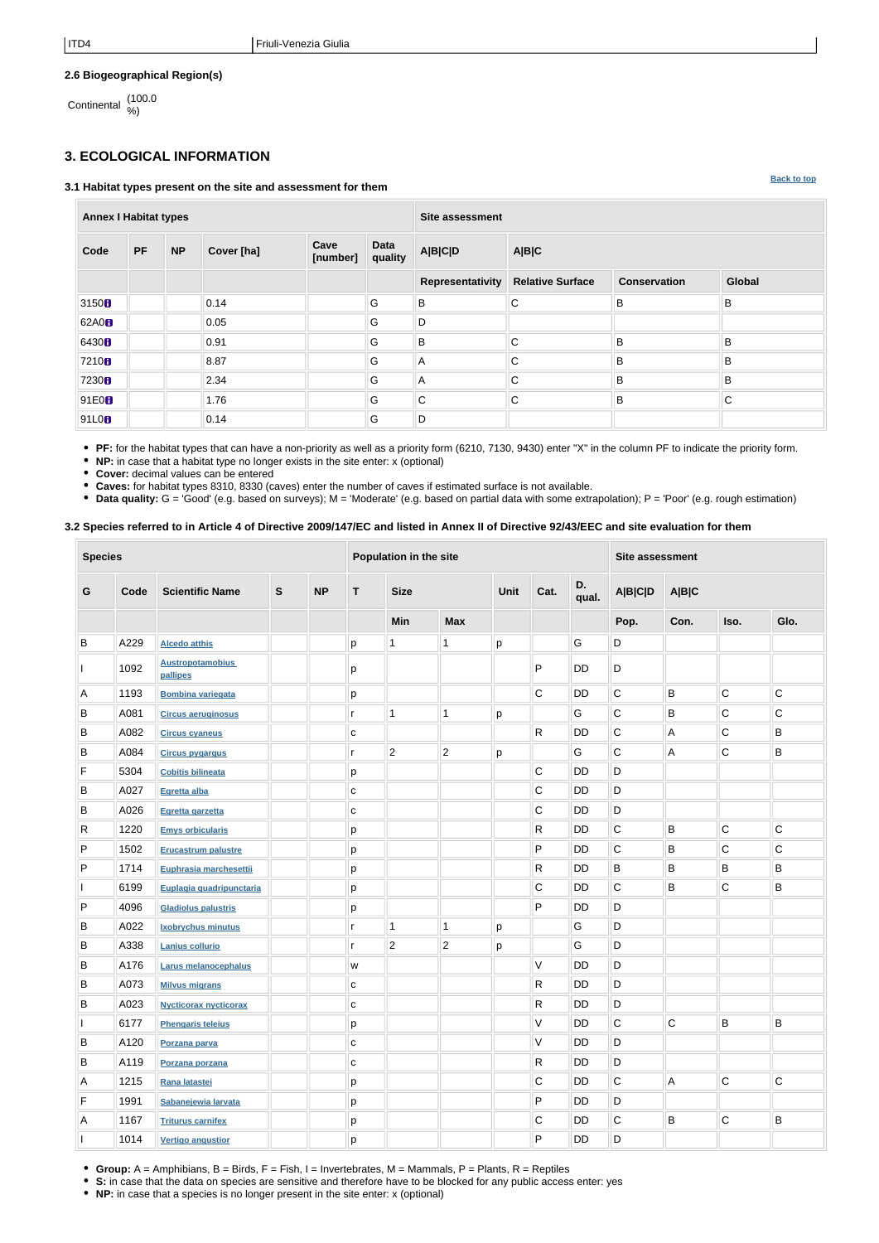## **2.6 Biogeographical Region(s)**

Continental (100.0 %)

# <span id="page-1-0"></span>**3. ECOLOGICAL INFORMATION**

#### **3.1 Habitat types present on the site and assessment for them**

| <b>Annex I Habitat types</b> |           |           |            | Site assessment  |                        |                           |                         |                     |              |  |  |
|------------------------------|-----------|-----------|------------|------------------|------------------------|---------------------------|-------------------------|---------------------|--------------|--|--|
| Code                         | <b>PF</b> | <b>NP</b> | Cover [ha] | Cave<br>[number] | <b>Data</b><br>quality | <b>A B C D</b>            | A B C                   |                     |              |  |  |
|                              |           |           |            |                  |                        | <b>Representativity</b>   | <b>Relative Surface</b> | <b>Conservation</b> | Global       |  |  |
| 3150 <sup>h</sup>            |           |           | 0.14       |                  | G                      | $\sf B$                   | $\mathsf{C}$            | B                   | B            |  |  |
| 62A0 <sub>0</sub>            |           |           | 0.05       |                  | G                      | D                         |                         |                     |              |  |  |
| 6430 <b>B</b>                |           |           | 0.91       |                  | G                      | $\sf B$                   | C                       | B                   | 'B           |  |  |
| 7210 <sub>B</sub>            |           |           | 8.87       |                  | G                      | $\mathsf{A}$              | C                       | B                   | B.           |  |  |
| 7230 <sub>B</sub>            |           |           | 2.34       |                  | G                      | $\boldsymbol{\mathsf{A}}$ | C                       | B                   | B.           |  |  |
| 91E0 <sub>B</sub>            |           |           | 1.76       |                  | G                      | $\mathsf C$               | $\mathsf{C}$            | B                   | $\mathsf{C}$ |  |  |
| 91L0H                        |           |           | 0.14       |                  | G                      | D                         |                         |                     |              |  |  |

**PF:** for the habitat types that can have a non-priority as well as a priority form (6210, 7130, 9430) enter "X" in the column PF to indicate the priority form.

**NP:** in case that a habitat type no longer exists in the site enter: x (optional)

**Cover:** decimal values can be entered

**Caves:** for habitat types 8310, 8330 (caves) enter the number of caves if estimated surface is not available.

**Data quality:** G = 'Good' (e.g. based on surveys); M = 'Moderate' (e.g. based on partial data with some extrapolation); P = 'Poor' (e.g. rough estimation)

## **3.2 Species referred to in Article 4 of Directive 2009/147/EC and listed in Annex II of Directive 92/43/EEC and site evaluation for them**

| <b>Species</b> |      |                                     | Population in the site |           |              |                                            |                |                | <b>Site assessment</b> |           |                |                |                         |             |
|----------------|------|-------------------------------------|------------------------|-----------|--------------|--------------------------------------------|----------------|----------------|------------------------|-----------|----------------|----------------|-------------------------|-------------|
| G              | Code | <b>Scientific Name</b>              | ${\mathsf S}$          | <b>NP</b> | T            | D.<br>Cat.<br><b>Size</b><br>Unit<br>qual. |                | <b>A B C D</b> | <b>A B C</b>           |           |                |                |                         |             |
|                |      |                                     |                        |           |              | <b>Min</b>                                 | <b>Max</b>     |                |                        |           | Pop.           | Con.           | Iso.                    | Glo.        |
| В              | A229 | <b>Alcedo atthis</b>                |                        |           | p            | $\mathbf 1$                                | 1              | p              |                        | G         | D              |                |                         |             |
|                | 1092 | <b>Austropotamobius</b><br>pallipes |                        |           | р            |                                            |                |                | P                      | DD        | D              |                |                         |             |
| A              | 1193 | <b>Bombina variegata</b>            |                        |           | p            |                                            |                |                | $\mathsf C$            | DD        | $\mathsf C$    | $\sf B$        | $\mathsf C$             | $\mathsf C$ |
| Β              | A081 | <b>Circus aeruginosus</b>           |                        |           | r            | $\mathbf{1}$                               | 1              | p              |                        | G         | $\mathsf C$    | B              | $\mathsf C$             | C           |
| B              | A082 | <b>Circus cyaneus</b>               |                        |           | $\mathbf C$  |                                            |                |                | R                      | <b>DD</b> | $\mathsf C$    | $\overline{A}$ | $\mathsf{C}$            | B           |
| Β              | A084 | <b>Circus pygargus</b>              |                        |           | r            | $\overline{2}$                             | $\overline{2}$ | p              |                        | G         | C              | $\overline{A}$ | $\mathsf C$             | B           |
| F              | 5304 | <b>Cobitis bilineata</b>            |                        |           | p            |                                            |                |                | С                      | <b>DD</b> | D              |                |                         |             |
| B              | A027 | Egretta alba                        |                        |           | $\mathbf{C}$ |                                            |                |                | $\mathsf C$            | DD        | D              |                |                         |             |
| B              | A026 | Egretta garzetta                    |                        |           | С            |                                            |                |                | C                      | DD        | D              |                |                         |             |
| R              | 1220 | <b>Emys orbicularis</b>             |                        |           | p            |                                            |                |                | R                      | <b>DD</b> | C              | B              | $\mathsf C$             | C           |
| P              | 1502 | <b>Erucastrum palustre</b>          |                        |           | р            |                                            |                |                | P                      | <b>DD</b> | $\mathsf C$    | B              | С                       | $\mathsf C$ |
| P              | 1714 | Euphrasia marchesettii              |                        |           | p            |                                            |                |                | R                      | <b>DD</b> | B              | B              | B                       | B           |
|                | 6199 | Euplagia quadripunctaria            |                        |           | р            |                                            |                |                | $\mathsf C$            | DD        | $\mathsf C$    | $\sf B$        | C                       | B           |
| P              | 4096 | <b>Gladiolus palustris</b>          |                        |           | р            |                                            |                |                | P                      | DD        | D              |                |                         |             |
| В              | A022 | <b>Ixobrychus minutus</b>           |                        |           | r            | $\mathbf{1}$                               | 1              | р              |                        | G         | D              |                |                         |             |
| В              | A338 | Lanius collurio                     |                        |           | r            | $\sqrt{2}$                                 | $\mathbf{2}$   | р              |                        | G         | D              |                |                         |             |
| В              | A176 | Larus melanocephalus                |                        |           | W            |                                            |                |                | V                      | <b>DD</b> | D              |                |                         |             |
| В              | A073 | <b>Milvus migrans</b>               |                        |           | $\mathbf{C}$ |                                            |                |                | R                      | DD        | D              |                |                         |             |
| В              | A023 | <b>Nycticorax nycticorax</b>        |                        |           | $\mathbf{C}$ |                                            |                |                | R                      | <b>DD</b> | D              |                |                         |             |
|                | 6177 | <b>Phengaris teleius</b>            |                        |           | p            |                                            |                |                | V                      | DD        | $\overline{C}$ | $\overline{C}$ | B                       | B           |
| B              | A120 | Porzana parva                       |                        |           | C            |                                            |                |                | V                      | DD        | D              |                |                         |             |
| В              | A119 | Porzana porzana                     |                        |           | $\mathbf{C}$ |                                            |                |                | $\mathsf{R}$           | DD        | D              |                |                         |             |
| А              | 1215 | Rana latastei                       |                        |           | p            |                                            |                |                | C                      | DD        | $\mathsf C$    | $\overline{A}$ | $\overline{\mathsf{C}}$ | $\mathsf C$ |
| F              | 1991 | Sabanejewia larvata                 |                        |           | p            |                                            |                |                | P                      | DD        | D              |                |                         |             |
| Α              | 1167 | <b>Triturus carnifex</b>            |                        |           | р            |                                            |                |                | C                      | DD        | $\mathsf C$    | B              | $\overline{\mathsf{C}}$ | B           |
|                | 1014 | <b>Vertigo angustior</b>            |                        |           | p            |                                            |                |                | P                      | DD        | $\mathsf D$    |                |                         |             |

- **Group:** A = Amphibians, B = Birds, F = Fish, I = Invertebrates, M = Mammals, P = Plants, R = Reptiles
- **S:** in case that the data on species are sensitive and therefore have to be blocked for any public access enter: yes
- **NP:** in case that a species is no longer present in the site enter: x (optional)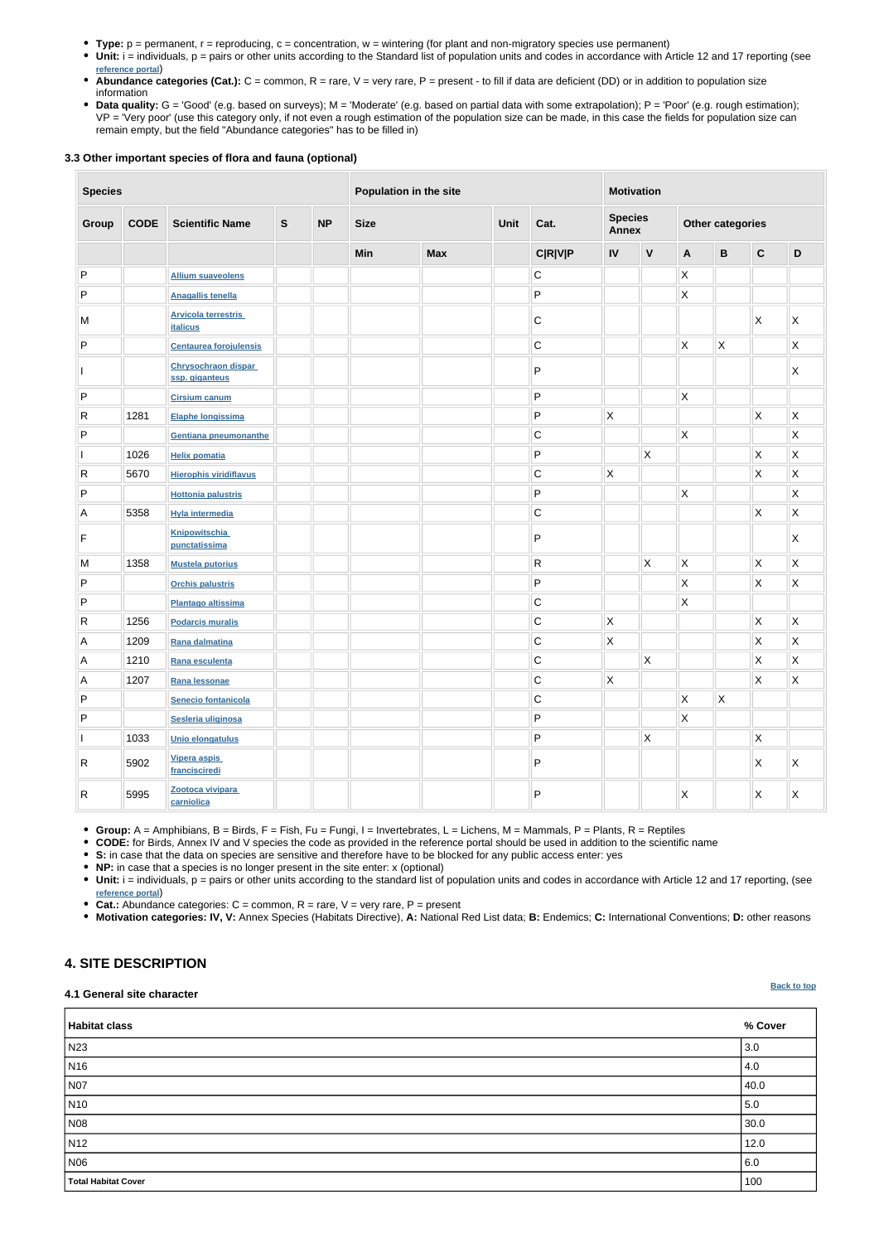- **Type:** p = permanent, r = reproducing, c = concentration, w = wintering (for plant and non-migratory species use permanent)
- Unit: i = individuals, p = pairs or other units according to the Standard list of population units and codes in accordance with Article 12 and 17 reporting (see **[reference portal](http://bd.eionet.europa.eu/activities/Natura_2000/reference_portal)**)
- Abundance categories (Cat.): C = common, R = rare, V = very rare, P = present to fill if data are deficient (DD) or in addition to population size information
- Data quality: G = 'Good' (e.g. based on surveys); M = 'Moderate' (e.g. based on partial data with some extrapolation); P = 'Poor' (e.g. rough estimation); VP = 'Very poor' (use this category only, if not even a rough estimation of the population size can be made, in this case the fields for population size can remain empty, but the field "Abundance categories" has to be filled in)

### **3.3 Other important species of flora and fauna (optional)**

| <b>Species</b>          |             | Population in the site                        |              |           |                             | <b>Motivation</b> |                                |                |                         |              |                           |              |                           |                         |
|-------------------------|-------------|-----------------------------------------------|--------------|-----------|-----------------------------|-------------------|--------------------------------|----------------|-------------------------|--------------|---------------------------|--------------|---------------------------|-------------------------|
| Group                   | <b>CODE</b> | <b>Scientific Name</b>                        | $\mathbf{s}$ | <b>NP</b> | Unit<br>Cat.<br><b>Size</b> |                   | <b>Species</b><br><b>Annex</b> |                | <b>Other categories</b> |              |                           |              |                           |                         |
|                         |             |                                               |              |           | Min                         | <b>Max</b>        |                                | <b>C R V P</b> | IV                      | $\mathbf V$  | A                         | $\, {\bf B}$ | $\mathbf c$               | $\mathsf D$             |
| ${\sf P}$               |             | <b>Allium suaveolens</b>                      |              |           |                             |                   |                                | $\mathsf C$    |                         |              | $\mathsf{X}$              |              |                           |                         |
| P                       |             | <b>Anagallis tenella</b>                      |              |           |                             |                   |                                | P              |                         |              | $\mathsf{\overline{X}}$   |              |                           |                         |
| M                       |             | <b>Arvicola terrestris</b><br><b>italicus</b> |              |           |                             |                   |                                | C              |                         |              |                           |              | $\boldsymbol{\mathsf{X}}$ | $\mathsf{\chi}$         |
| P                       |             | <b>Centaurea forojulensis</b>                 |              |           |                             |                   |                                | $\mathsf C$    |                         |              | $\overline{\mathsf{x}}$   | $\mathsf X$  |                           | Χ                       |
|                         |             | Chrysochraon dispar<br>ssp. giganteus         |              |           |                             |                   |                                | P              |                         |              |                           |              |                           | X                       |
| P                       |             | <b>Cirsium canum</b>                          |              |           |                             |                   |                                | P              |                         |              | $\mathsf{\overline{X}}$   |              |                           |                         |
| ${\sf R}$               | 1281        | Elaphe longissima                             |              |           |                             |                   |                                | P              | X                       |              |                           |              | X                         | Χ                       |
| P                       |             | Gentiana pneumonanthe                         |              |           |                             |                   |                                | $\mathsf C$    |                         |              | $\overline{\mathsf{x}}$   |              |                           | Χ                       |
|                         | 1026        | <b>Helix pomatia</b>                          |              |           |                             |                   |                                | P              |                         | $\mathsf X$  |                           |              | X                         | $\mathsf{\overline{X}}$ |
| $\vert R \vert$         | 5670        | <b>Hierophis viridiflavus</b>                 |              |           |                             |                   |                                | $\mathsf C$    | X                       |              |                           |              | $\pmb{\times}$            | Χ                       |
| P                       |             | <b>Hottonia palustris</b>                     |              |           |                             |                   |                                | P              |                         |              | $\mathsf{\overline{X}}$   |              |                           | X                       |
| A                       | 5358        | <b>Hyla intermedia</b>                        |              |           |                             |                   |                                | С              |                         |              |                           |              | $\mathsf{X}$              | Χ                       |
| F                       |             | <b>Knipowitschia</b><br>punctatissima         |              |           |                             |                   |                                | P              |                         |              |                           |              |                           | Χ                       |
| M                       | 1358        | <b>Mustela putorius</b>                       |              |           |                             |                   |                                | R              |                         | X            | $\mathsf{\overline{X}}$   |              | $\boldsymbol{\mathsf{X}}$ | Χ                       |
| P                       |             | <b>Orchis palustris</b>                       |              |           |                             |                   |                                | P              |                         |              | $\overline{\mathsf{x}}$   |              | $\pmb{\times}$            | Χ                       |
| P                       |             | <b>Plantago altissima</b>                     |              |           |                             |                   |                                | $\mathsf C$    |                         |              | $\boldsymbol{\mathsf{X}}$ |              |                           |                         |
| R                       | 1256        | <b>Podarcis muralis</b>                       |              |           |                             |                   |                                | $\mathsf C$    | Χ                       |              |                           |              | X                         | Χ                       |
| $\mathsf{A}$            | 1209        | Rana dalmatina                                |              |           |                             |                   |                                | $\cap$<br>◡    | $\mathsf X$             |              |                           |              | $\mathsf X$               | $\mathsf X$             |
| $\overline{A}$          | 1210        | Rana esculenta                                |              |           |                             |                   |                                | $\mathsf C$    |                         | $\mathsf{X}$ |                           |              | $\mathsf X$               | $\mathsf{X}$            |
| $\overline{\mathsf{A}}$ | 1207        | Rana lessonae                                 |              |           |                             |                   |                                | $\mathsf C$    | $\mathsf X$             |              |                           |              | $\mathsf X$               | $\mathsf{X}$            |
| P                       |             | Senecio fontanicola                           |              |           |                             |                   |                                | $\mathsf C$    |                         |              | $\mathsf{\overline{X}}$   | $\mathsf X$  |                           |                         |
| ${\sf P}$               |             | Sesleria uliginosa                            |              |           |                             |                   |                                | P              |                         |              | $\mathsf{X}$              |              |                           |                         |
|                         | 1033        | Unio elongatulus                              |              |           |                             |                   |                                | P              |                         | $\mathsf X$  |                           |              | $\mathsf X$               |                         |
| R                       | 5902        | Vipera aspis<br>francisciredi                 |              |           |                             |                   |                                | P              |                         |              |                           |              | $\mathsf{X}$              | X                       |
| $\mathsf{R}$            | 5995        | Zootoca vivipara<br>carniolica                |              |           |                             |                   |                                | P              |                         |              | $\mathsf{X}$              |              | X.                        | X.                      |

**Group:** A = Amphibians, B = Birds, F = Fish, Fu = Fungi, I = Invertebrates, L = Lichens, M = Mammals, P = Plants, R = Reptiles

**CODE:** for Birds, Annex IV and V species the code as provided in the reference portal should be used in addition to the scientific name

- **S:** in case that the data on species are sensitive and therefore have to be blocked for any public access enter: yes
- **NP:** in case that a species is no longer present in the site enter: x (optional)
- Unit: i = individuals, p = pairs or other units according to the standard list of population units and codes in accordance with Article 12 and 17 reporting, (see **[reference portal](http://bd.eionet.europa.eu/activities/Natura_2000/reference_portal)**)
- **Cat.:** Abundance categories: C = common, R = rare, V = very rare, P = present
- **Motivation categories: IV, V:** Annex Species (Habitats Directive), **A:** National Red List data; **B:** Endemics; **C:** International Conventions; **D:** other reasons

## <span id="page-2-0"></span>**4. SITE DESCRIPTION**

#### **4.1 General site character**

| Habitat class              | % Cover |
|----------------------------|---------|
| N23                        | 3.0     |
| N <sub>16</sub>            | 4.0     |
| $\vert$ NO7                | 40.0    |
| N <sub>10</sub>            | 5.0     |
| N08                        | 30.0    |
| N <sub>12</sub>            | 12.0    |
| N06                        | 6.0     |
| <b>Total Habitat Cover</b> | 100     |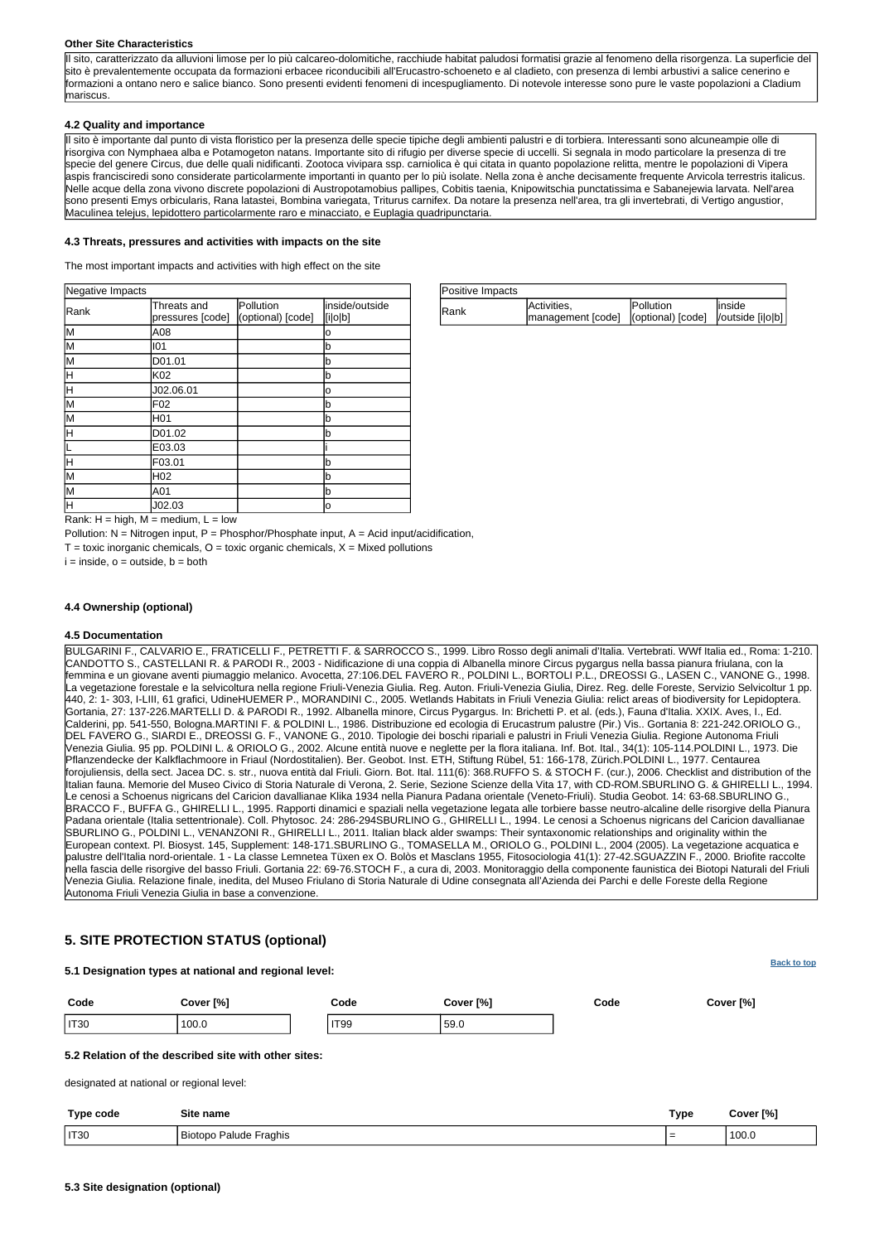| Positive Impacts |                                                          |           |         |  |
|------------------|----------------------------------------------------------|-----------|---------|--|
| Rank             | Activities,                                              | Pollution | linside |  |
|                  | management [code]   (optional) [code]   /outside [i o b] |           |         |  |

Rank:  $H = high$ ,  $M = medium$ ,  $L = low$ 

Pollution:  $N =$  Nitrogen input, P = Phosphor/Phosphate input, A = Acid input/acidification,

 $T =$  toxic inorganic chemicals,  $Q =$  toxic organic chemicals,  $X =$  Mixed pollutions

 $i = inside, o = outside, b = both$ 

| Negative Impacts |                                 |                                |                           |  |  |
|------------------|---------------------------------|--------------------------------|---------------------------|--|--|
| Rank             | Threats and<br>pressures [code] | Pollution<br>(optional) [code] | inside/outside<br>[i o b] |  |  |
| lм               | A08                             |                                | о                         |  |  |
| lм               | 101                             |                                | lb                        |  |  |
| M                | D01.01                          |                                | lb                        |  |  |
| ΙH               | K02                             |                                | lb                        |  |  |
| lн               | J02.06.01                       |                                | о                         |  |  |
| lм               | F <sub>02</sub>                 |                                | lb                        |  |  |
| lм               | H01                             |                                | lb                        |  |  |
| lн               | D01.02                          |                                | lb                        |  |  |
|                  | E03.03                          |                                |                           |  |  |
| H                | F03.01                          |                                | lb                        |  |  |
| lм               | H02                             |                                | lb                        |  |  |
| M                | A01                             |                                | Ιb                        |  |  |
| lн               | J02.03                          |                                | ΙO                        |  |  |

#### **Other Site Characteristics**

Il sito, caratterizzato da alluvioni limose per lo più calcareo-dolomitiche, racchiude habitat paludosi formatisi grazie al fenomeno della risorgenza. La superficie del sito è prevalentemente occupata da formazioni erbacee riconducibili all'Erucastro-schoeneto e al cladieto, con presenza di lembi arbustivi a salice cenerino e formazioni a ontano nero e salice bianco. Sono presenti evidenti fenomeni di incespugliamento. Di notevole interesse sono pure le vaste popolazioni a Cladium mariscus.

## **4.2 Quality and importance**

Il sito è importante dal punto di vista floristico per la presenza delle specie tipiche degli ambienti palustri e di torbiera. Interessanti sono alcuneampie olle di risorgiva con Nymphaea alba e Potamogeton natans. Importante sito di rifugio per diverse specie di uccelli. Si segnala in modo particolare la presenza di tre specie del genere Circus, due delle quali nidificanti. Zootoca vivipara ssp. carniolica è qui citata in quanto popolazione relitta, mentre le popolazioni di Vipera aspis francisciredi sono considerate particolarmente importanti in quanto per lo più isolate. Nella zona è anche decisamente frequente Arvicola terrestris italicus. Nelle acque della zona vivono discrete popolazioni di Austropotamobius pallipes, Cobitis taenia, Knipowitschia punctatissima e Sabanejewia larvata. Nell'area sono presenti Emys orbicularis, Rana latastei, Bombina variegata, Triturus carnifex. Da notare la presenza nell'area, tra gli invertebrati, di Vertigo angustior, Maculinea telejus, lepidottero particolarmente raro e minacciato, e Euplagia quadripunctaria.

### **4.3 Threats, pressures and activities with impacts on the site**

The most important impacts and activities with high effect on the site

## **4.4 Ownership (optional)**

## **4.5 Documentation**

BULGARINI F., CALVARIO E., FRATICELLI F., PETRETTI F. & SARROCCO S., 1999. Libro Rosso degli animali d'Italia. Vertebrati. WWf Italia ed., Roma: 1-210. CANDOTTO S., CASTELLANI R. & PARODI R., 2003 - Nidificazione di una coppia di Albanella minore Circus pygargus nella bassa pianura friulana, con la femmina e un giovane aventi piumaggio melanico. Avocetta, 27:106.DEL FAVERO R., POLDINI L., BORTOLI P.L., DREOSSI G., LASEN C., VANONE G., 1998. La vegetazione forestale e la selvicoltura nella regione Friuli-Venezia Giulia. Reg. Auton. Friuli-Venezia Giulia, Direz. Reg. delle Foreste, Servizio Selvicoltur 1 pp. 440, 2: 1- 303, I-LIII, 61 grafici, UdineHUEMER P., MORANDINI C., 2005. Wetlands Habitats in Friuli Venezia Giulia: relict areas of biodiversity for Lepidoptera. Gortania, 27: 137-226.MARTELLI D. & PARODI R., 1992. Albanella minore, Circus Pygargus. In: Brichetti P. et al. (eds.), Fauna d'Italia. XXIX. Aves, I., Ed. Calderini, pp. 541-550, Bologna.MARTINI F. & POLDINI L., 1986. Distribuzione ed ecologia di Erucastrum palustre (Pir.) Vis.. Gortania 8: 221-242.ORIOLO G., DEL FAVERO G., SIARDI E., DREOSSI G. F., VANONE G., 2010. Tipologie dei boschi ripariali e palustri in Friuli Venezia Giulia. Regione Autonoma Friuli Venezia Giulia. 95 pp. POLDINI L. & ORIOLO G., 2002. Alcune entità nuove e neglette per la flora italiana. Inf. Bot. Ital., 34(1): 105-114.POLDINI L., 1973. Die Pflanzendecke der Kalkflachmoore in Friaul (Nordostitalien). Ber. Geobot. Inst. ETH, Stiftung Rübel, 51: 166-178, Zürich.POLDINI L., 1977. Centaurea forojuliensis, della sect. Jacea DC. s. str., nuova entità dal Friuli. Giorn. Bot. Ital. 111(6): 368.RUFFO S. & STOCH F. (cur.), 2006. Checklist and distribution of the Italian fauna. Memorie del Museo Civico di Storia Naturale di Verona, 2. Serie, Sezione Scienze della Vita 17, with CD-ROM.SBURLINO G. & GHIRELLI L., 1994. Le cenosi a Schoenus nigricans del Caricion davallianae Klika 1934 nella Pianura Padana orientale (Veneto-Friuli). Studia Geobot. 14: 63-68.SBURLINO G., BRACCO F., BUFFA G., GHIRELLI L., 1995. Rapporti dinamici e spaziali nella vegetazione legata alle torbiere basse neutro-alcaline delle risorgive della Pianura Padana orientale (Italia settentrionale). Coll. Phytosoc. 24: 286-294SBURLINO G., GHIRELLI L., 1994. Le cenosi a Schoenus nigricans del Caricion davallianae SBURLINO G., POLDINI L., VENANZONI R., GHIRELLI L., 2011. Italian black alder swamps: Their syntaxonomic relationships and originality within the European context. Pl. Biosyst. 145, Supplement: 148-171.SBURLINO G., TOMASELLA M., ORIOLO G., POLDINI L., 2004 (2005). La vegetazione acquatica e palustre dell'Italia nord-orientale. 1 - La classe Lemnetea Tüxen ex O. Bolòs et Masclans 1955, Fitosociologia 41(1): 27-42.SGUAZZIN F., 2000. Briofite raccolte nella fascia delle risorgive del basso Friuli. Gortania 22: 69-76.STOCH F., a cura di, 2003. Monitoraggio della componente faunistica dei Biotopi Naturali del Friuli Venezia Giulia. Relazione finale, inedita, del Museo Friulano di Storia Naturale di Udine consegnata all'Azienda dei Parchi e delle Foreste della Regione Autonoma Friuli Venezia Giulia in base a convenzione.

### <span id="page-3-0"></span>**5. SITE PROTECTION STATUS (optional)**

**5.1 Designation types at national and regional level:**



#### **5.2 Relation of the described site with other sites:**

designated at national or regional level:

| Type code   | Type<br>Site name                         |     | Cover <sup>[%]</sup> |
|-------------|-------------------------------------------|-----|----------------------|
| <b>IT30</b> | Fraghis<br>Palude I<br>Biotopo<br>$\cdot$ | . . | 100.0                |

<span id="page-3-1"></span>**5.3 Site designation (optional)**